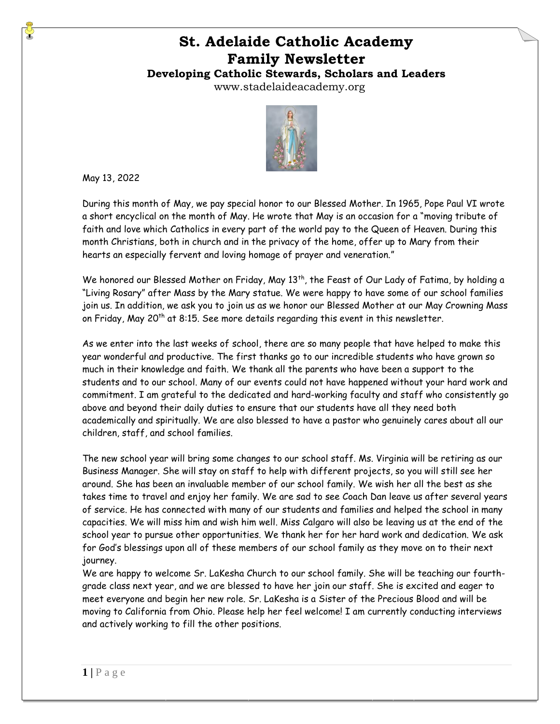# **St. Adelaide Catholic Academy Family Newsletter**

# **Developing Catholic Stewards, Scholars and Leaders**

www.stadelaideacademy.org



May 13, 2022

During this month of May, we pay special honor to our Blessed Mother. In 1965, Pope Paul VI wrote a short encyclical on the month of May. He wrote that May is an occasion for a "moving tribute of faith and love which Catholics in every part of the world pay to the Queen of Heaven. During this month Christians, both in church and in the privacy of the home, offer up to Mary from their hearts an especially fervent and loving homage of prayer and veneration."

We honored our Blessed Mother on Friday, May 13<sup>th</sup>, the Feast of Our Lady of Fatima, by holding a "Living Rosary" after Mass by the Mary statue. We were happy to have some of our school families join us. In addition, we ask you to join us as we honor our Blessed Mother at our May Crowning Mass on Friday, May 20<sup>th</sup> at 8:15. See more details regarding this event in this newsletter.

As we enter into the last weeks of school, there are so many people that have helped to make this year wonderful and productive. The first thanks go to our incredible students who have grown so much in their knowledge and faith. We thank all the parents who have been a support to the students and to our school. Many of our events could not have happened without your hard work and commitment. I am grateful to the dedicated and hard-working faculty and staff who consistently go above and beyond their daily duties to ensure that our students have all they need both academically and spiritually. We are also blessed to have a pastor who genuinely cares about all our children, staff, and school families.

The new school year will bring some changes to our school staff. Ms. Virginia will be retiring as our Business Manager. She will stay on staff to help with different projects, so you will still see her around. She has been an invaluable member of our school family. We wish her all the best as she takes time to travel and enjoy her family. We are sad to see Coach Dan leave us after several years of service. He has connected with many of our students and families and helped the school in many capacities. We will miss him and wish him well. Miss Calgaro will also be leaving us at the end of the school year to pursue other opportunities. We thank her for her hard work and dedication. We ask for God's blessings upon all of these members of our school family as they move on to their next journey.

We are happy to welcome Sr. LaKesha Church to our school family. She will be teaching our fourthgrade class next year, and we are blessed to have her join our staff. She is excited and eager to meet everyone and begin her new role. Sr. LaKesha is a Sister of the Precious Blood and will be moving to California from Ohio. Please help her feel welcome! I am currently conducting interviews and actively working to fill the other positions.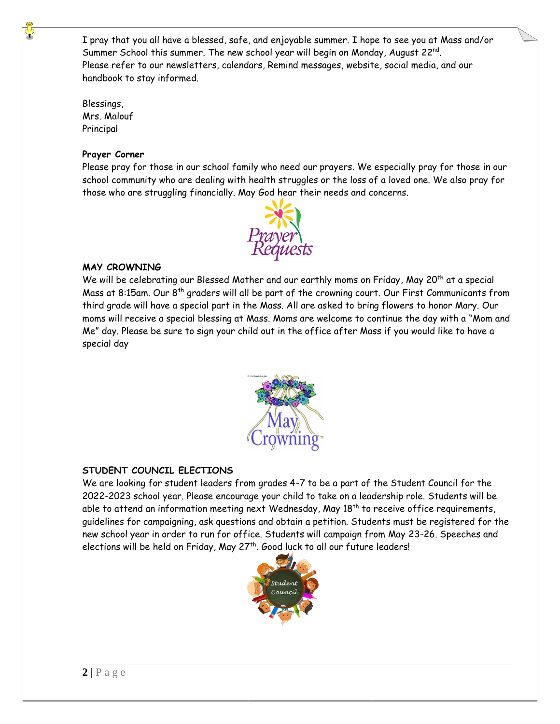I pray that you all have a blessed, safe, and enjoyable summer. I hope to see you at Mass and/or Summer School this summer. The new school year will begin on Monday, August 22nd. Please refer to our newsletters, calendars, Remind messages, website, social media, and our handbook to stay informed.

Blessings, Mrs. Malouf Principal

## **Prayer Corner**

Please pray for those in our school family who need our prayers. We especially pray for those in our school community who are dealing with health struggles or the loss of a loved one. We also pray for those who are struggling financially. May God hear their needs and concerns.



## **MAY CROWNING**

We will be celebrating our Blessed Mother and our earthly moms on Friday, May 20<sup>th</sup> at a special Mass at 8:15am. Our 8th graders will all be part of the crowning court. Our First Communicants from third grade will have a special part in the Mass. All are asked to bring flowers to honor Mary. Our moms will receive a special blessing at Mass. Moms are welcome to continue the day with a "Mom and Me" day. Please be sure to sign your child out in the office after Mass if you would like to have a special day



## **STUDENT COUNCIL ELECTIONS**

We are looking for student leaders from grades 4-7 to be a part of the Student Council for the 2022-2023 school year. Please encourage your child to take on a leadership role. Students will be able to attend an information meeting next Wednesday, May  $18^{th}$  to receive office requirements, guidelines for campaigning, ask questions and obtain a petition. Students must be registered for the new school year in order to run for office. Students will campaign from May 23-26. Speeches and elections will be held on Friday, May 27<sup>th</sup>. Good luck to all our future leaders!

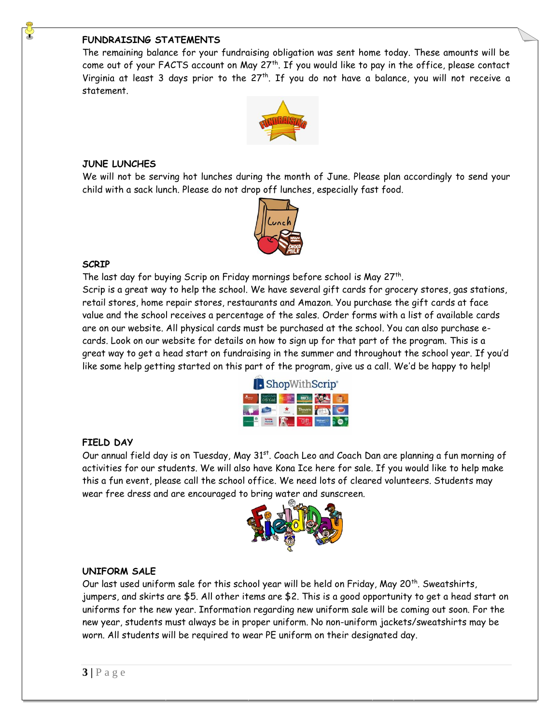## **FUNDRAISING STATEMENTS**

The remaining balance for your fundraising obligation was sent home today. These amounts will be come out of your FACTS account on May  $27<sup>th</sup>$ . If you would like to pay in the office, please contact Virginia at least 3 days prior to the  $27<sup>th</sup>$ . If you do not have a balance, you will not receive a statement.



#### **JUNE LUNCHES**

We will not be serving hot lunches during the month of June. Please plan accordingly to send your child with a sack lunch. Please do not drop off lunches, especially fast food.



#### **SCRIP**

The last day for buying Scrip on Friday mornings before school is May 27<sup>th</sup>. Scrip is a great way to help the school. We have several gift cards for grocery stores, gas stations, retail stores, home repair stores, restaurants and Amazon. You purchase the gift cards at face value and the school receives a percentage of the sales. Order forms with a list of available cards are on our website. All physical cards must be purchased at the school. You can also purchase ecards. Look on our website for details on how to sign up for that part of the program. This is a great way to get a head start on fundraising in the summer and throughout the school year. If you'd like some help getting started on this part of the program, give us a call. We'd be happy to help!

| <b>B</b> ShopWithScrip® |  |  |  |  |  |
|-------------------------|--|--|--|--|--|
|                         |  |  |  |  |  |
|                         |  |  |  |  |  |
|                         |  |  |  |  |  |

### **FIELD DAY**

Our annual field day is on Tuesday, May 31<sup>st</sup>. Coach Leo and Coach Dan are planning a fun morning of activities for our students. We will also have Kona Ice here for sale. If you would like to help make this a fun event, please call the school office. We need lots of cleared volunteers. Students may wear free dress and are encouraged to bring water and sunscreen.



### **UNIFORM SALE**

Our last used uniform sale for this school year will be held on Friday, May 20<sup>th</sup>. Sweatshirts, jumpers, and skirts are \$5. All other items are \$2. This is a good opportunity to get a head start on uniforms for the new year. Information regarding new uniform sale will be coming out soon. For the new year, students must always be in proper uniform. No non-uniform jackets/sweatshirts may be worn. All students will be required to wear PE uniform on their designated day.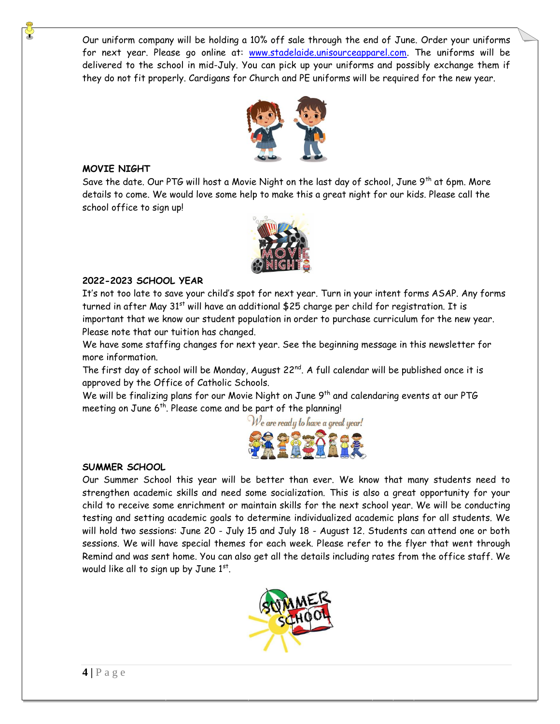Our uniform company will be holding a 10% off sale through the end of June. Order your uniforms for next year. Please go online at: [www.stadelaide.unisourceapparel.com.](http://www.stadelaide.unisourceapparel.com/) The uniforms will be delivered to the school in mid-July. You can pick up your uniforms and possibly exchange them if they do not fit properly. Cardigans for Church and PE uniforms will be required for the new year.



#### **MOVIE NIGHT**

Save the date. Our PTG will host a Movie Night on the last day of school, June 9<sup>th</sup> at 6pm. More details to come. We would love some help to make this a great night for our kids. Please call the school office to sign up!



#### **2022-2023 SCHOOL YEAR**

It's not too late to save your child's spot for next year. Turn in your intent forms ASAP. Any forms turned in after May  $31<sup>st</sup>$  will have an additional \$25 charge per child for registration. It is important that we know our student population in order to purchase curriculum for the new year. Please note that our tuition has changed.

We have some staffing changes for next year. See the beginning message in this newsletter for more information.

The first day of school will be Monday, August  $22^{nd}$ . A full calendar will be published once it is approved by the Office of Catholic Schools.

We will be finalizing plans for our Movie Night on June 9<sup>th</sup> and calendaring events at our PTG meeting on June 6<sup>th</sup>. Please come and be part of the planning!



### **SUMMER SCHOOL**

Our Summer School this year will be better than ever. We know that many students need to strengthen academic skills and need some socialization. This is also a great opportunity for your child to receive some enrichment or maintain skills for the next school year. We will be conducting testing and setting academic goals to determine individualized academic plans for all students. We will hold two sessions: June 20 - July 15 and July 18 - August 12. Students can attend one or both sessions. We will have special themes for each week. Please refer to the flyer that went through Remind and was sent home. You can also get all the details including rates from the office staff. We would like all to sign up by June 1st.

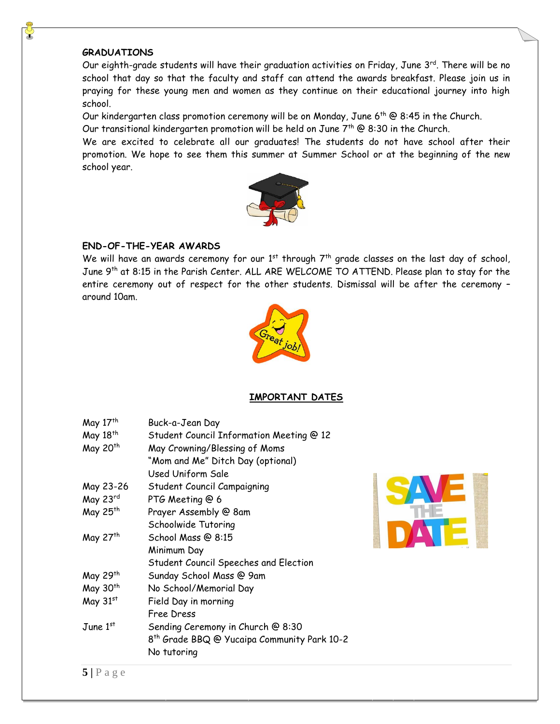#### **GRADUATIONS**

Our eighth-grade students will have their graduation activities on Friday, June 3 $^{\rm rd}$ . There will be no school that day so that the faculty and staff can attend the awards breakfast. Please join us in praying for these young men and women as they continue on their educational journey into high school.

Our kindergarten class promotion ceremony will be on Monday, June 6th @ 8:45 in the Church.

Our transitional kindergarten promotion will be held on June  $7^{\text{th}}$  @ 8:30 in the Church.

We are excited to celebrate all our graduates! The students do not have school after their promotion. We hope to see them this summer at Summer School or at the beginning of the new school year.



### **END-OF-THE-YEAR AWARDS**

We will have an awards ceremony for our  $1<sup>st</sup>$  through  $7<sup>th</sup>$  grade classes on the last day of school, June 9<sup>th</sup> at 8:15 in the Parish Center. ALL ARE WELCOME TO ATTEND. Please plan to stay for the entire ceremony out of respect for the other students. Dismissal will be after the ceremony – around 10am.



### **IMPORTANT DATES**

| May 17th             | Buck-a-Jean Day                                         |  |  |  |
|----------------------|---------------------------------------------------------|--|--|--|
| May 18 <sup>th</sup> | Student Council Information Meeting @ 12                |  |  |  |
| May 20 <sup>th</sup> | May Crowning/Blessing of Moms                           |  |  |  |
|                      | "Mom and Me" Ditch Day (optional)                       |  |  |  |
|                      | Used Uniform Sale                                       |  |  |  |
| May 23-26            | Student Council Campaigning                             |  |  |  |
| May 23rd             | PTG Meeting @ 6                                         |  |  |  |
| May 25 <sup>th</sup> | Prayer Assembly @ 8am                                   |  |  |  |
|                      | Schoolwide Tutoring                                     |  |  |  |
| May 27 <sup>th</sup> | School Mass @ 8:15                                      |  |  |  |
|                      | Minimum Day                                             |  |  |  |
|                      | Student Council Speeches and Election                   |  |  |  |
| May 29 <sup>th</sup> | Sunday School Mass @ 9am                                |  |  |  |
| May 30 <sup>th</sup> | No School/Memorial Day                                  |  |  |  |
| May 31st             | Field Day in morning                                    |  |  |  |
|                      | Free Dress                                              |  |  |  |
| June $1^{st}$        | Sending Ceremony in Church @ 8:30                       |  |  |  |
|                      | 8 <sup>th</sup> Grade BBQ @ Yucaipa Community Park 10-2 |  |  |  |
|                      | No tutoring                                             |  |  |  |